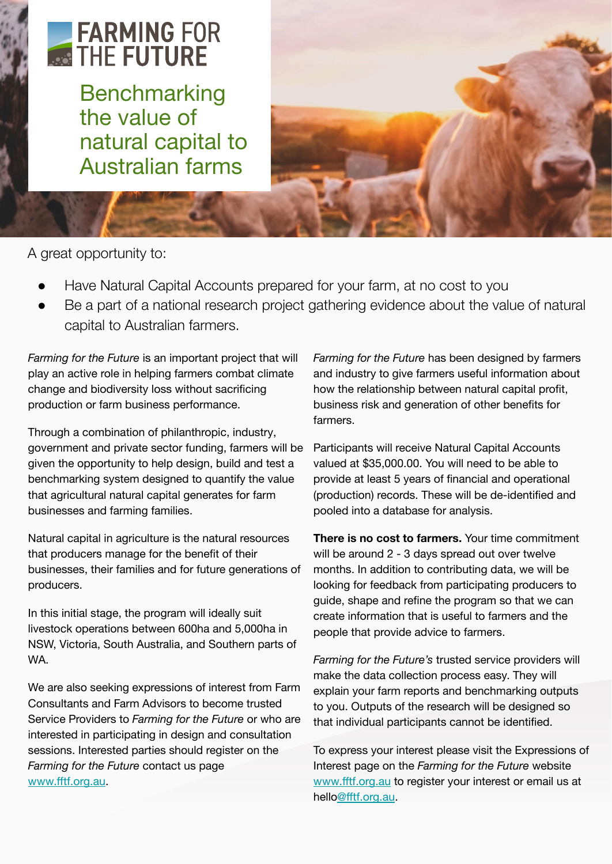# FARMING FOR **AND THE FUTURE**

**Benchmarking** the value of natural capital to Australian farms



A great opportunity to:

- Have Natural Capital Accounts prepared for your farm, at no cost to you
- Be a part of a national research project gathering evidence about the value of natural capital to Australian farmers.

*Farming for the Future* is an important project that will play an active role in helping farmers combat climate change and biodiversity loss without sacrificing production or farm business performance.

Through a combination of philanthropic, industry, government and private sector funding, farmers will be given the opportunity to help design, build and test a benchmarking system designed to quantify the value that agricultural natural capital generates for farm businesses and farming families.

Natural capital in agriculture is the natural resources that producers manage for the benefit of their businesses, their families and for future generations of producers.

In this initial stage, the program will ideally suit livestock operations between 600ha and 5,000ha in NSW, Victoria, South Australia, and Southern parts of WA.

We are also seeking expressions of interest from Farm Consultants and Farm Advisors to become trusted Service Providers to *Farming for the Future* or who are interested in participating in design and consultation sessions. Interested parties should register on the *Farming for the Future* contact us page [www.fftf.org.au.](http://www.fftf.org.au)

*Farming for the Future* has been designed by farmers and industry to give farmers useful information about how the relationship between natural capital profit, business risk and generation of other benefits for farmers.

Participants will receive Natural Capital Accounts valued at \$35,000.00. You will need to be able to provide at least 5 years of financial and operational (production) records. These will be de-identified and pooled into a database for analysis.

**There is no cost to farmers.** Your time commitment will be around 2 - 3 days spread out over twelve months. In addition to contributing data, we will be looking for feedback from participating producers to guide, shape and refine the program so that we can create information that is useful to farmers and the people that provide advice to farmers.

*Farming for the Future's* trusted service providers will make the data collection process easy. They will explain your farm reports and benchmarking outputs to you. Outputs of the research will be designed so that individual participants cannot be identified.

To express your interest please visit the Expressions of Interest page on the *Farming for the Future* website [www.fftf.org.au](http://www.fftf.org.au/) to register your interest or email us at hell[o@fftf.org.au](mailto:info@fftf.org.au).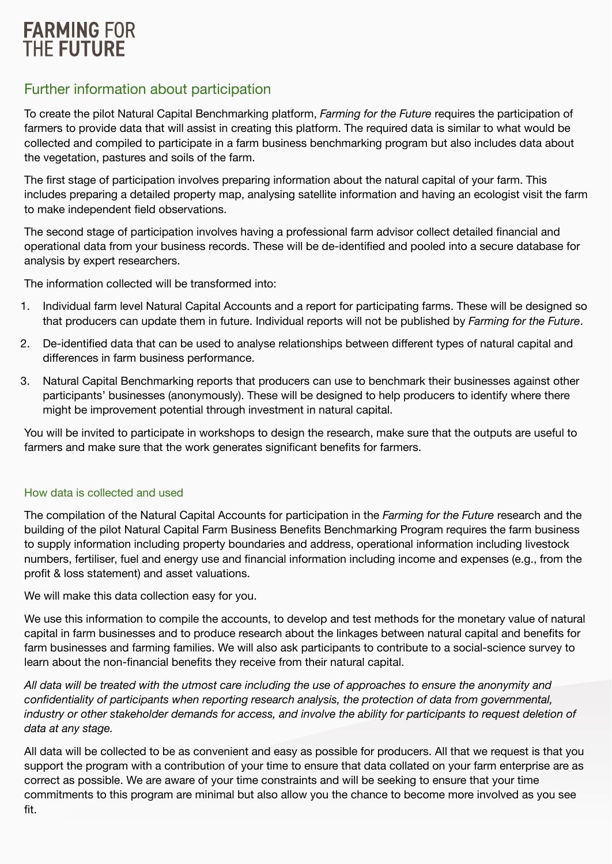## **FARMING FOR THE FUTURE**

### Further information about participation

To create the pilot Natural Capital Benchmarking platform, *Farming for the Future* requires the participation of farmers to provide data that will assist in creating this platform. The required data is similar to what would be collected and compiled to participate in a farm business benchmarking program but also includes data about the vegetation, pastures and soils of the farm.

The first stage of participation involves preparing information about the natural capital of your farm. This includes preparing a detailed property map, analysing satellite information and having an ecologist visit the farm to make independent field observations.

The second stage of participation involves having a professional farm advisor collect detailed financial and operational data from your business records. These will be de-identified and pooled into a secure database for analysis by expert researchers.

The information collected will be transformed into:

- 1. Individual farm level Natural Capital Accounts and a report for participating farms. These will be designed so that producers can update them in future. Individual reports will not be published by *Farming for the Future*.
- 2. De-identified data that can be used to analyse relationships between different types of natural capital and differences in farm business performance.
- 3. Natural Capital Benchmarking reports that producers can use to benchmark their businesses against other participants' businesses (anonymously). These will be designed to help producers to identify where there might be improvement potential through investment in natural capital.

You will be invited to participate in workshops to design the research, make sure that the outputs are useful to farmers and make sure that the work generates significant benefits for farmers.

#### How data is collected and used

The compilation of the Natural Capital Accounts for participation in the *Farming for the Future* research and the building of the pilot Natural Capital Farm Business Benefits Benchmarking Program requires the farm business to supply information including property boundaries and address, operational information including livestock numbers, fertiliser, fuel and energy use and financial information including income and expenses (e.g., from the profit & loss statement) and asset valuations.

We will make this data collection easy for you.

We use this information to compile the accounts, to develop and test methods for the monetary value of natural capital in farm businesses and to produce research about the linkages between natural capital and benefits for farm businesses and farming families. We will also ask participants to contribute to a social-science survey to learn about the non-financial benefits they receive from their natural capital.

*All data will be treated with the utmost care including the use of approaches to ensure the anonymity and confidentiality of participants when reporting research analysis, the protection of data from governmental, industry or other stakeholder demands for access, and involve the ability for participants to request deletion of data at any stage.*

All data will be collected to be as convenient and easy as possible for producers. All that we request is that you support the program with a contribution of your time to ensure that data collated on your farm enterprise are as correct as possible. We are aware of your time constraints and will be seeking to ensure that your time commitments to this program are minimal but also allow you the chance to become more involved as you see fit.